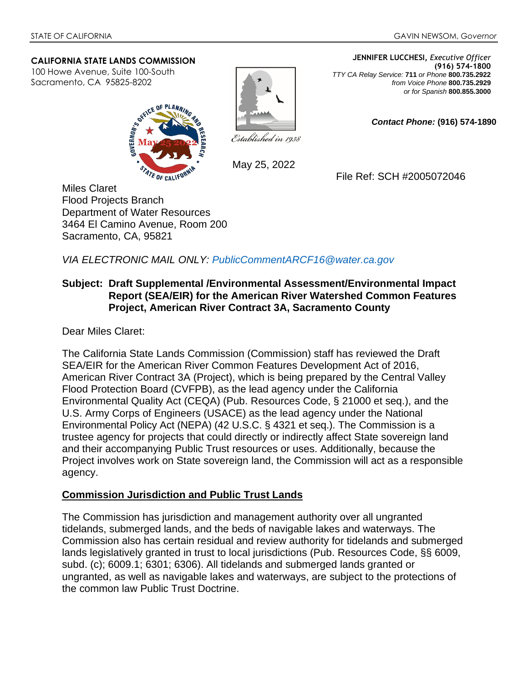#### **CALIFORNIA STATE LANDS COMMISSION**

100 Howe Avenue, Suite 100-South Sacramento, CA 95825-8202





May 25, 2022

**JENNIFER LUCCHESI,** *Executive Officer* **(916) 574-1800**  *TTY CA Relay Service:* **711** *or Phone* **800.735.2922** *from Voice Phone* **800.735.2929**  *or for Spanish* **800.855.3000**

*Contact Phone:* **(916) 574-1890** 

File Ref: SCH #2005072046

Miles Claret Flood Projects Branch Department of Water Resources 3464 El Camino Avenue, Room 200 Sacramento, CA, 95821

*VIA ELECTRONIC MAIL ONLY: PublicCommentARCF16@water.ca.gov*

## **Subject: Draft Supplemental /Environmental Assessment/Environmental Impact Report (SEA/EIR) for the American River Watershed Common Features Project, American River Contract 3A, Sacramento County**

Dear Miles Claret:

The California State Lands Commission (Commission) staff has reviewed the Draft SEA/EIR for the American River Common Features Development Act of 2016, American River Contract 3A (Project), which is being prepared by the Central Valley Flood Protection Board (CVFPB), as the lead agency under the California Environmental Quality Act (CEQA) (Pub. Resources Code, § 21000 et seq.), and the U.S. Army Corps of Engineers (USACE) as the lead agency under the National Environmental Policy Act (NEPA) (42 U.S.C. § 4321 et seq.). The Commission is a trustee agency for projects that could directly or indirectly affect State sovereign land and their accompanying Public Trust resources or uses. Additionally, because the Project involves work on State sovereign land, the Commission will act as a responsible agency.

### **Commission Jurisdiction and Public Trust Lands**

The Commission has jurisdiction and management authority over all ungranted tidelands, submerged lands, and the beds of navigable lakes and waterways. The Commission also has certain residual and review authority for tidelands and submerged lands legislatively granted in trust to local jurisdictions (Pub. Resources Code, §§ 6009, subd. (c); 6009.1; 6301; 6306). All tidelands and submerged lands granted or ungranted, as well as navigable lakes and waterways, are subject to the protections of the common law Public Trust Doctrine.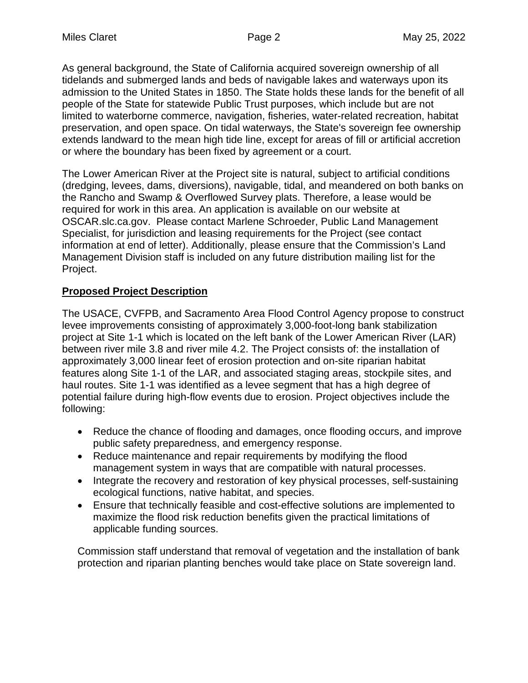As general background, the State of California acquired sovereign ownership of all tidelands and submerged lands and beds of navigable lakes and waterways upon its admission to the United States in 1850. The State holds these lands for the benefit of all people of the State for statewide Public Trust purposes, which include but are not limited to waterborne commerce, navigation, fisheries, water-related recreation, habitat preservation, and open space. On tidal waterways, the State's sovereign fee ownership extends landward to the mean high tide line, except for areas of fill or artificial accretion or where the boundary has been fixed by agreement or a court.

The Lower American River at the Project site is natural, subject to artificial conditions (dredging, levees, dams, diversions), navigable, tidal, and meandered on both banks on the Rancho and Swamp & Overflowed Survey plats. Therefore, a lease would be required for work in this area. An application is available on our website at OSCAR.slc.ca.gov. Please contact Marlene Schroeder, Public Land Management Specialist, for jurisdiction and leasing requirements for the Project (see contact information at end of letter). Additionally, please ensure that the Commission's Land Management Division staff is included on any future distribution mailing list for the Project.

# **Proposed Project Description**

The USACE, CVFPB, and Sacramento Area Flood Control Agency propose to construct levee improvements consisting of approximately 3,000-foot-long bank stabilization project at Site 1-1 which is located on the left bank of the Lower American River (LAR) between river mile 3.8 and river mile 4.2. The Project consists of: the installation of approximately 3,000 linear feet of erosion protection and on-site riparian habitat features along Site 1-1 of the LAR, and associated staging areas, stockpile sites, and haul routes. Site 1-1 was identified as a levee segment that has a high degree of potential failure during high-flow events due to erosion. Project objectives include the following:

- Reduce the chance of flooding and damages, once flooding occurs, and improve public safety preparedness, and emergency response.
- Reduce maintenance and repair requirements by modifying the flood management system in ways that are compatible with natural processes.
- Integrate the recovery and restoration of key physical processes, self-sustaining ecological functions, native habitat, and species.
- Ensure that technically feasible and cost-effective solutions are implemented to maximize the flood risk reduction benefits given the practical limitations of applicable funding sources.

Commission staff understand that removal of vegetation and the installation of bank protection and riparian planting benches would take place on State sovereign land.